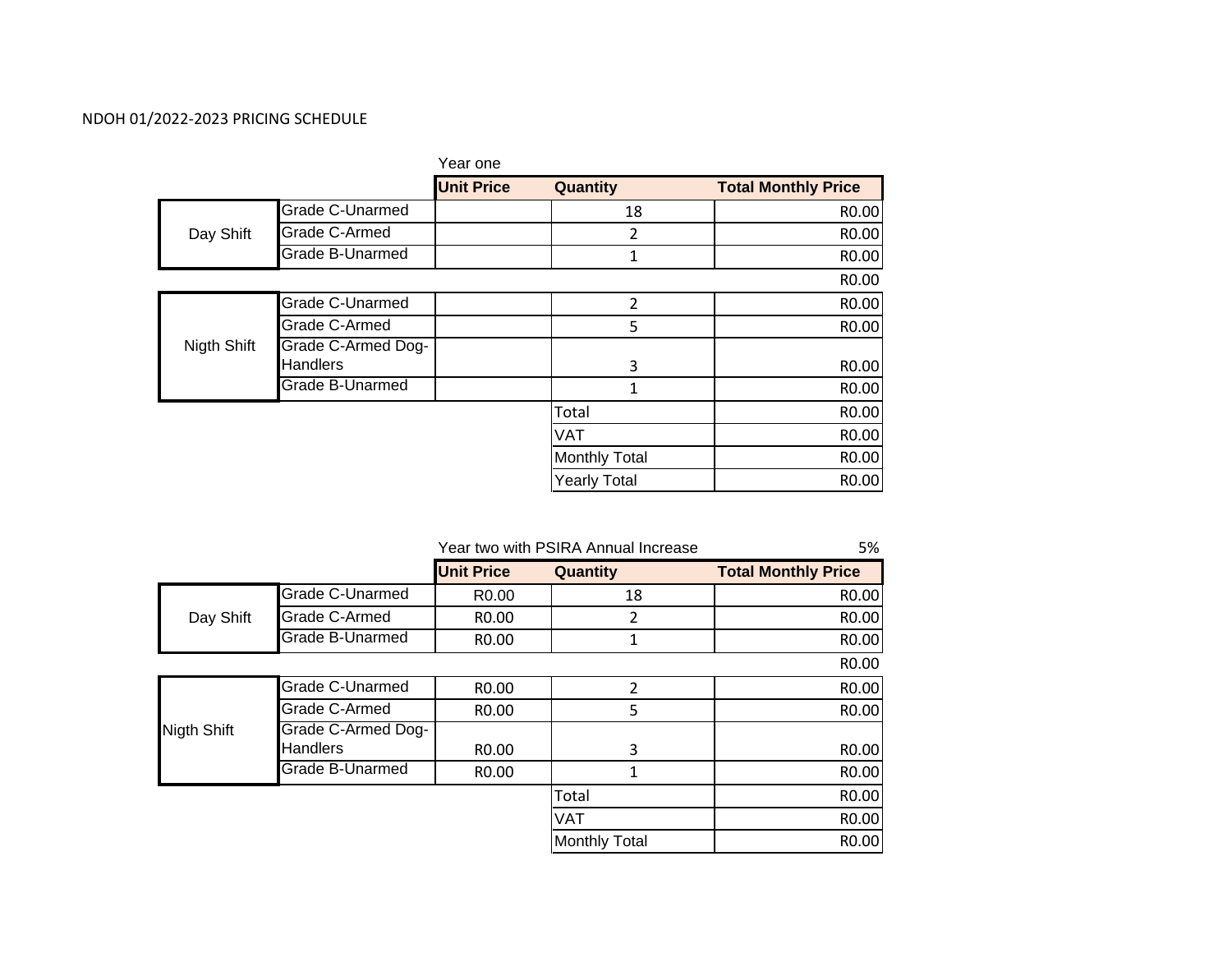### NDOH 01/2022‐2023 PRICING SCHEDULE

| Year one          |                     |                            |
|-------------------|---------------------|----------------------------|
| <b>Unit Price</b> |                     | <b>Total Monthly Price</b> |
|                   | 18                  | R <sub>0.00</sub>          |
|                   | 2                   | R <sub>0.00</sub>          |
|                   | 1                   | R <sub>0.00</sub>          |
|                   |                     | R0.00                      |
|                   | $\overline{2}$      | R0.00                      |
|                   | 5                   | R0.00                      |
|                   |                     |                            |
|                   | 3                   | R0.00                      |
|                   | 1                   | R <sub>0.00</sub>          |
|                   | Total               | R0.00                      |
|                   | <b>VAT</b>          | R0.00                      |
|                   |                     | R <sub>0.00</sub>          |
|                   | <b>Yearly Total</b> | R <sub>0.00</sub>          |
|                   |                     | Quantity<br>Monthly Total  |

|             |                                       | Year two with PSIRA Annual Increase | 5%                   |                            |
|-------------|---------------------------------------|-------------------------------------|----------------------|----------------------------|
|             |                                       | <b>Unit Price</b>                   | Quantity             | <b>Total Monthly Price</b> |
|             | Grade C-Unarmed                       | R <sub>0</sub> .00                  | 18                   | R0.00                      |
| Day Shift   | Grade C-Armed                         | R <sub>0</sub> .00                  | 2                    | R0.00                      |
|             | Grade B-Unarmed                       | R <sub>0</sub> .00                  | 1                    | R0.00                      |
|             |                                       |                                     |                      | R0.00                      |
|             | Grade C-Unarmed                       | R <sub>0</sub> .00                  | $\overline{2}$       | R0.00                      |
|             | Grade C-Armed                         | R0.00                               | 5                    | R0.00                      |
| Nigth Shift | Grade C-Armed Dog-<br><b>Handlers</b> | R <sub>0</sub> .00                  | 3                    | R0.00                      |
|             | Grade B-Unarmed                       | R0.00                               | 1                    | R0.00                      |
|             |                                       |                                     | Total                | R0.00                      |
|             |                                       |                                     | <b>VAT</b>           | R0.00                      |
|             |                                       |                                     | <b>Monthly Total</b> | R0.00                      |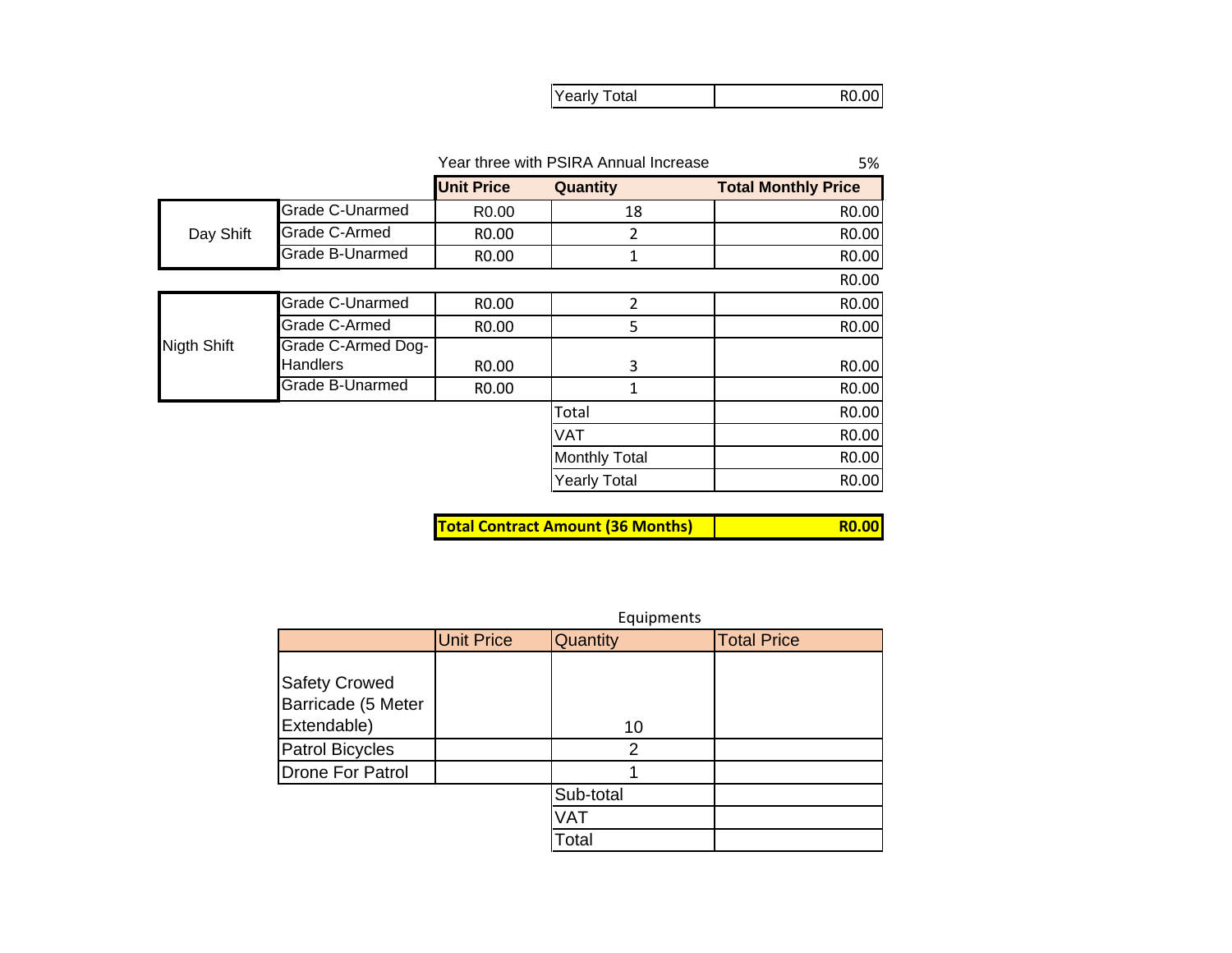|--|

|                 |                        | Year three with PSIRA Annual Increase | 5%                   |                            |
|-----------------|------------------------|---------------------------------------|----------------------|----------------------------|
|                 |                        | <b>Unit Price</b>                     | Quantity             | <b>Total Monthly Price</b> |
|                 | Grade C-Unarmed        | R <sub>0.00</sub>                     | 18                   | R0.00                      |
| Day Shift       | Grade C-Armed          | R <sub>0</sub> .00                    | 2                    | R0.00                      |
|                 | <b>Grade B-Unarmed</b> | R <sub>0</sub> .00                    | 1                    | R0.00                      |
|                 | R <sub>0</sub> .00     |                                       |                      |                            |
|                 | Grade C-Unarmed        | R0.00                                 | $\overline{2}$       | R0.00                      |
|                 | Grade C-Armed          | R <sub>0</sub> .00                    | 5                    | R0.00                      |
| Nigth Shift     | Grade C-Armed Dog-     |                                       |                      |                            |
|                 | <b>Handlers</b>        | R <sub>0</sub> .00                    | 3                    | R0.00                      |
| Grade B-Unarmed |                        | R0.00                                 | 1                    | R0.00                      |
|                 |                        |                                       | Total                | R0.00                      |
|                 |                        |                                       | <b>VAT</b>           | R0.00                      |
|                 |                        |                                       | <b>Monthly Total</b> | R0.00                      |
|                 |                        |                                       | <b>Yearly Total</b>  | R0.00                      |

**Total Contract Amount (36 Months)**

| ____<br><b>Service Service</b> | <b>Service Service Service</b> |  |
|--------------------------------|--------------------------------|--|
|                                |                                |  |

|                                                           | Equipments        |           |                    |  |  |  |
|-----------------------------------------------------------|-------------------|-----------|--------------------|--|--|--|
|                                                           | <b>Unit Price</b> | Quantity  | <b>Total Price</b> |  |  |  |
| <b>Safety Crowed</b><br>Barricade (5 Meter<br>Extendable) |                   | 10        |                    |  |  |  |
| <b>Patrol Bicycles</b>                                    |                   | 2         |                    |  |  |  |
| <b>Drone For Patrol</b>                                   |                   |           |                    |  |  |  |
|                                                           |                   | Sub-total |                    |  |  |  |
|                                                           |                   | VAT       |                    |  |  |  |
|                                                           |                   | Total     |                    |  |  |  |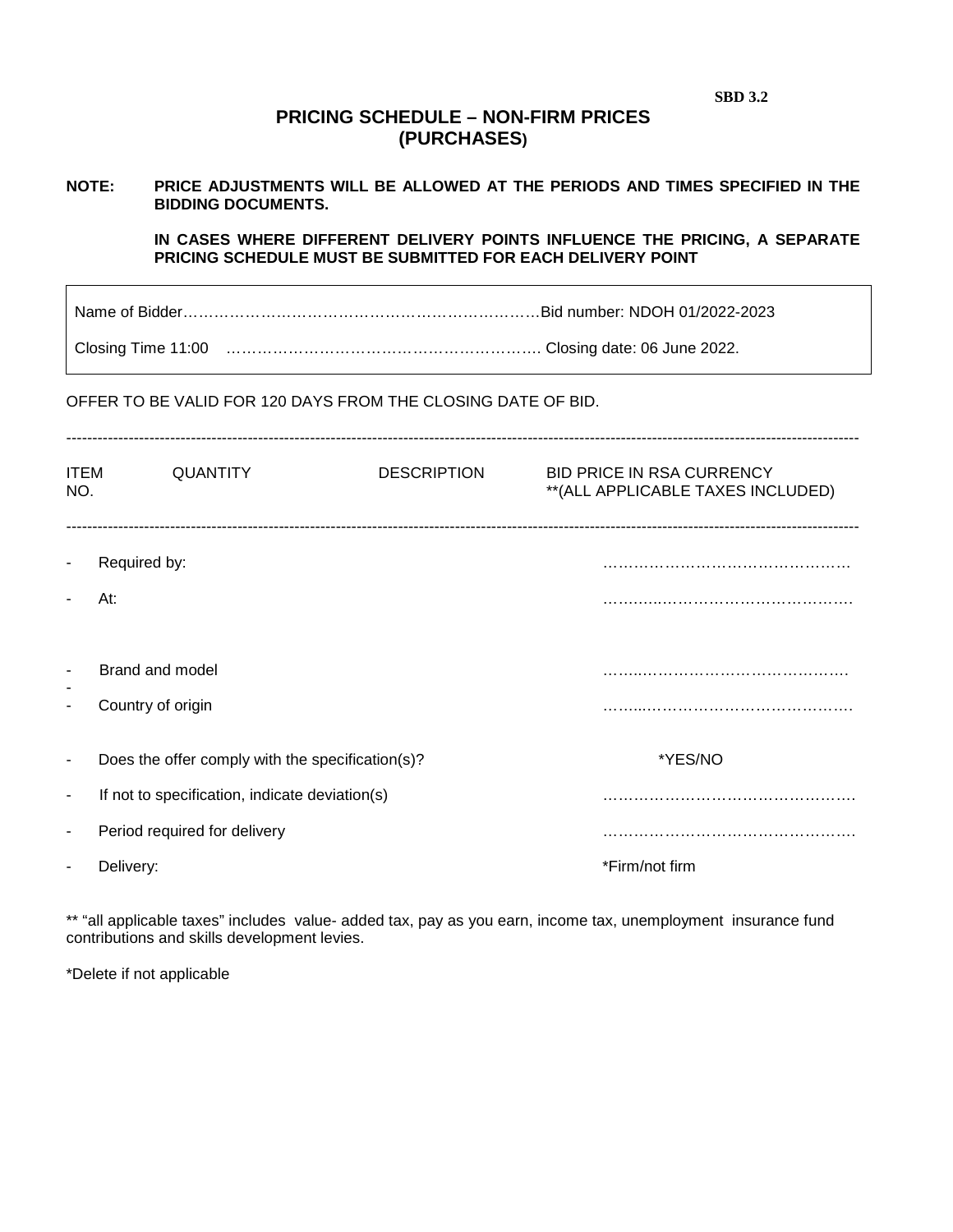**SBD 3.2** 

## **PRICING SCHEDULE – NON-FIRM PRICES (PURCHASES)**

# **NOTE: PRICE ADJUSTMENTS WILL BE ALLOWED AT THE PERIODS AND TIMES SPECIFIED IN THE BIDDING DOCUMENTS.**

**IN CASES WHERE DIFFERENT DELIVERY POINTS INFLUENCE THE PRICING, A SEPARATE PRICING SCHEDULE MUST BE SUBMITTED FOR EACH DELIVERY POINT** 

Name of Bidder……………………………………………………………Bid number: NDOH 01/2022-2023

Closing Time 11:00 ……………………………………………………. Closing date: 06 June 2022.

OFFER TO BE VALID FOR 120 DAYS FROM THE CLOSING DATE OF BID.

| <b>ITEM</b><br>NO.       | <b>QUANTITY</b>                                  | <b>DESCRIPTION</b> | <b>BID PRICE IN RSA CURRENCY</b><br>** (ALL APPLICABLE TAXES INCLUDED) |
|--------------------------|--------------------------------------------------|--------------------|------------------------------------------------------------------------|
| $\blacksquare$           | Required by:                                     |                    |                                                                        |
|                          | At:                                              |                    |                                                                        |
| $\blacksquare$           | Brand and model                                  |                    |                                                                        |
| ٠                        | Country of origin                                |                    |                                                                        |
| $\blacksquare$           | Does the offer comply with the specification(s)? |                    | *YES/NO                                                                |
| $\overline{\phantom{a}}$ | If not to specification, indicate deviation(s)   |                    |                                                                        |
| $\overline{\phantom{a}}$ | Period required for delivery                     |                    |                                                                        |
|                          | Delivery:                                        |                    | *Firm/not firm                                                         |

\*\* "all applicable taxes" includes value- added tax, pay as you earn, income tax, unemployment insurance fund contributions and skills development levies.

\*Delete if not applicable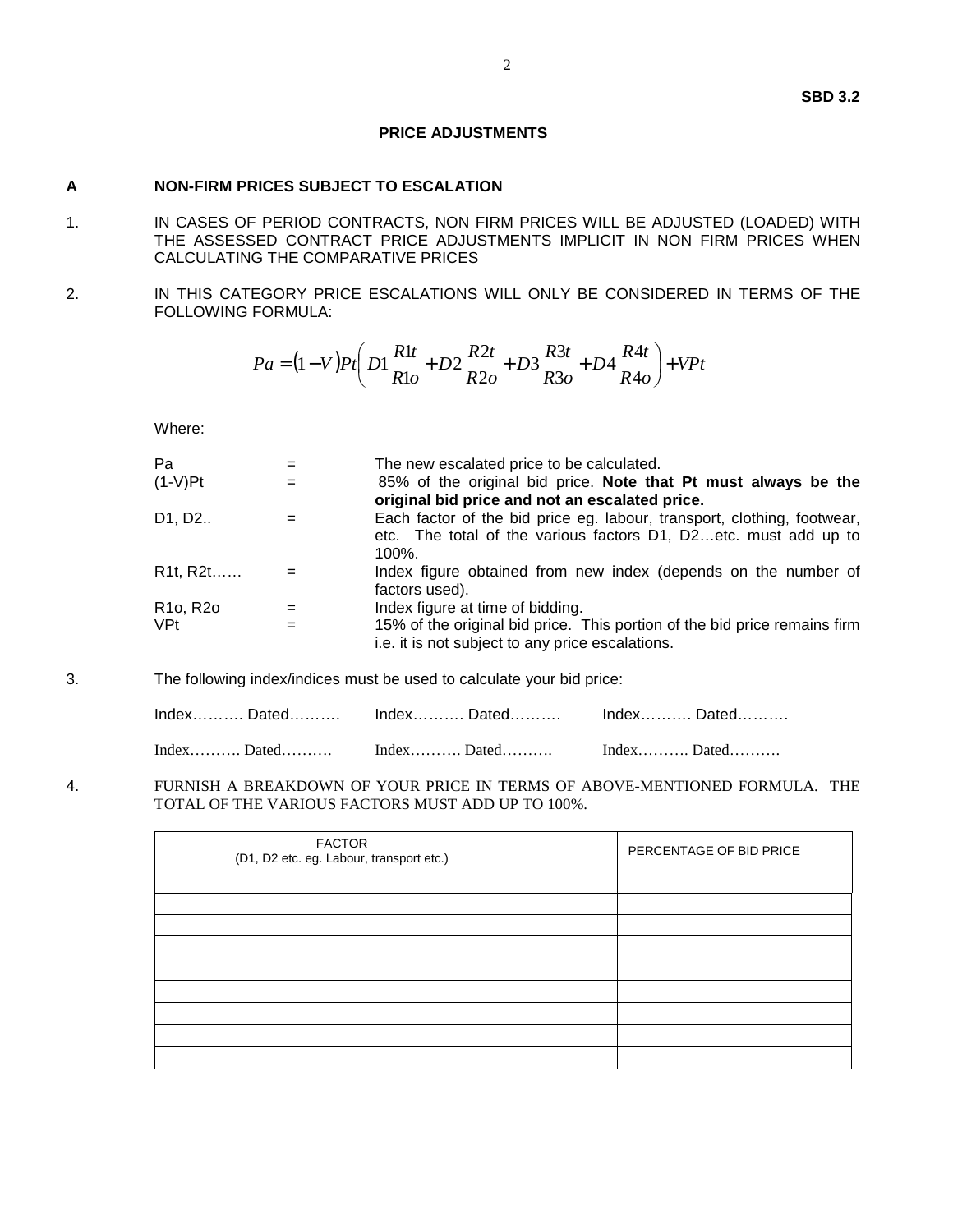### **PRICE ADJUSTMENTS**

#### **A NON-FIRM PRICES SUBJECT TO ESCALATION**

- 1. IN CASES OF PERIOD CONTRACTS, NON FIRM PRICES WILL BE ADJUSTED (LOADED) WITH THE ASSESSED CONTRACT PRICE ADJUSTMENTS IMPLICIT IN NON FIRM PRICES WHEN CALCULATING THE COMPARATIVE PRICES
- 2. IN THIS CATEGORY PRICE ESCALATIONS WILL ONLY BE CONSIDERED IN TERMS OF THE FOLLOWING FORMULA:

$$
Pa = (1 - V)Pt \left( D1 \frac{R1t}{R1o} + D2 \frac{R2t}{R2o} + D3 \frac{R3t}{R3o} + D4 \frac{R4t}{R4o} \right) + VPt
$$

Where:

| $=$ | The new escalated price to be calculated.                                                                                                               |
|-----|---------------------------------------------------------------------------------------------------------------------------------------------------------|
| =   | 85% of the original bid price. Note that Pt must always be the<br>original bid price and not an escalated price.                                        |
|     | Each factor of the bid price eg. labour, transport, clothing, footwear,<br>etc. The total of the various factors D1, D2etc. must add up to<br>$100\%$ . |
|     | Index figure obtained from new index (depends on the number of<br>factors used).                                                                        |
|     | Index figure at time of bidding.                                                                                                                        |
|     | 15% of the original bid price. This portion of the bid price remains firm<br>i.e. it is not subject to any price escalations.                           |
|     |                                                                                                                                                         |

3. The following index/indices must be used to calculate your bid price:

| IndexDatedIndexDatedDated |  |
|---------------------------|--|
|                           |  |

4. FURNISH A BREAKDOWN OF YOUR PRICE IN TERMS OF ABOVE-MENTIONED FORMULA. THE TOTAL OF THE VARIOUS FACTORS MUST ADD UP TO 100%.

| <b>FACTOR</b><br>(D1, D2 etc. eg. Labour, transport etc.) | PERCENTAGE OF BID PRICE |
|-----------------------------------------------------------|-------------------------|
|                                                           |                         |
|                                                           |                         |
|                                                           |                         |
|                                                           |                         |
|                                                           |                         |
|                                                           |                         |
|                                                           |                         |
|                                                           |                         |
|                                                           |                         |